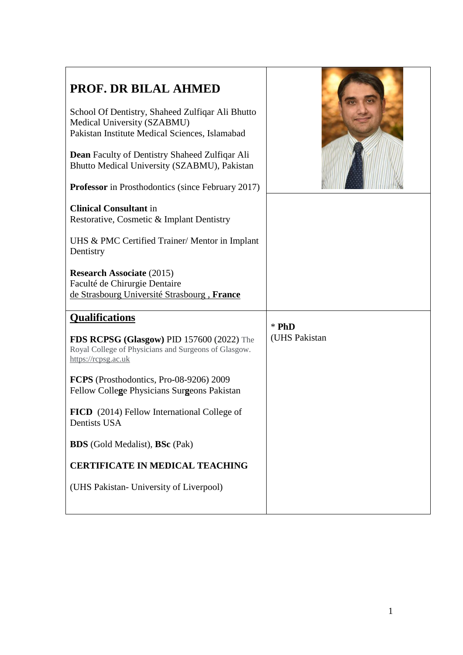| PROF. DR BILAL AHMED<br>School Of Dentistry, Shaheed Zulfiqar Ali Bhutto<br>Medical University (SZABMU)<br>Pakistan Institute Medical Sciences, Islamabad<br>Dean Faculty of Dentistry Shaheed Zulfiqar Ali<br>Bhutto Medical University (SZABMU), Pakistan<br><b>Professor</b> in Prosthodontics (since February 2017)<br><b>Clinical Consultant</b> in<br>Restorative, Cosmetic & Implant Dentistry<br>UHS & PMC Certified Trainer/ Mentor in Implant<br>Dentistry<br><b>Research Associate (2015)</b><br>Faculté de Chirurgie Dentaire<br>de Strasbourg Université Strasbourg, France |                          |
|------------------------------------------------------------------------------------------------------------------------------------------------------------------------------------------------------------------------------------------------------------------------------------------------------------------------------------------------------------------------------------------------------------------------------------------------------------------------------------------------------------------------------------------------------------------------------------------|--------------------------|
| <b>Qualifications</b><br>FDS RCPSG (Glasgow) PID 157600 (2022) The<br>Royal College of Physicians and Surgeons of Glasgow.<br>https://rcpsg.ac.uk                                                                                                                                                                                                                                                                                                                                                                                                                                        | $*$ PhD<br>(UHS Pakistan |
| FCPS (Prosthodontics, Pro-08-9206) 2009<br>Fellow College Physicians Surgeons Pakistan<br>FICD (2014) Fellow International College of                                                                                                                                                                                                                                                                                                                                                                                                                                                    |                          |
| Dentists USA<br><b>BDS</b> (Gold Medalist), <b>BSc</b> (Pak)                                                                                                                                                                                                                                                                                                                                                                                                                                                                                                                             |                          |
| <b>CERTIFICATE IN MEDICAL TEACHING</b>                                                                                                                                                                                                                                                                                                                                                                                                                                                                                                                                                   |                          |
| (UHS Pakistan- University of Liverpool)                                                                                                                                                                                                                                                                                                                                                                                                                                                                                                                                                  |                          |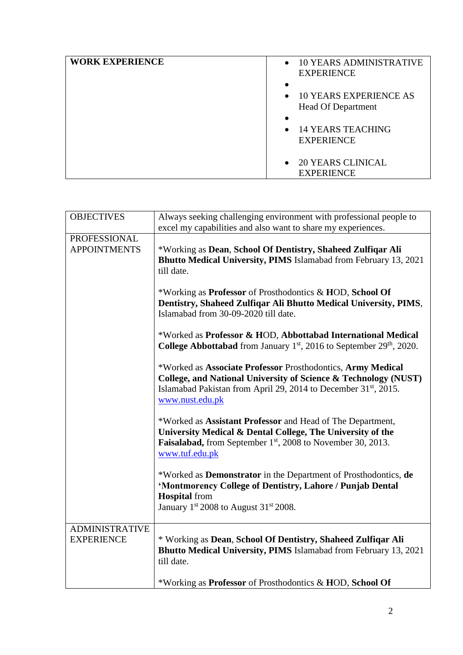| <b>WORK EXPERIENCE</b> | <b>10 YEARS ADMINISTRATIVE</b><br>$\bullet$<br><b>EXPERIENCE</b>        |
|------------------------|-------------------------------------------------------------------------|
|                        | <b>10 YEARS EXPERIENCE AS</b><br>$\bullet$<br><b>Head Of Department</b> |
|                        | $\bullet$<br>• 14 YEARS TEACHING<br><b>EXPERIENCE</b>                   |
|                        | • 20 YEARS CLINICAL<br><b>EXPERIENCE</b>                                |

| <b>OBJECTIVES</b>                          | Always seeking challenging environment with professional people to<br>excel my capabilities and also want to share my experiences.                                                                                               |
|--------------------------------------------|----------------------------------------------------------------------------------------------------------------------------------------------------------------------------------------------------------------------------------|
| <b>PROFESSIONAL</b><br><b>APPOINTMENTS</b> | *Working as Dean, School Of Dentistry, Shaheed Zulfiqar Ali<br>Bhutto Medical University, PIMS Islamabad from February 13, 2021<br>till date.                                                                                    |
|                                            | *Working as <b>Professor</b> of Prosthodontics & HOD, School Of<br>Dentistry, Shaheed Zulfiqar Ali Bhutto Medical University, PIMS,<br>Islamabad from 30-09-2020 till date.                                                      |
|                                            | *Worked as Professor & HOD, Abbottabad International Medical<br><b>College Abbottabad</b> from January $1st$ , 2016 to September 29 <sup>th</sup> , 2020.                                                                        |
|                                            | *Worked as Associate Professor Prosthodontics, Army Medical<br>College, and National University of Science & Technology (NUST)<br>Islamabad Pakistan from April 29, 2014 to December 31 <sup>st</sup> , 2015.<br>www.nust.edu.pk |
|                                            | *Worked as Assistant Professor and Head of The Department,<br>University Medical & Dental College, The University of the<br><b>Faisalabad,</b> from September 1 <sup>st</sup> , 2008 to November 30, 2013.<br>www.tuf.edu.pk     |
|                                            | *Worked as Demonstrator in the Department of Prosthodontics, de<br>'Montmorency College of Dentistry, Lahore / Punjab Dental<br><b>Hospital</b> from<br>January 1st 2008 to August 31st 2008.                                    |
| <b>ADMINISTRATIVE</b><br><b>EXPERIENCE</b> | * Working as Dean, School Of Dentistry, Shaheed Zulfiqar Ali<br>Bhutto Medical University, PIMS Islamabad from February 13, 2021<br>till date.                                                                                   |
|                                            | *Working as <b>Professor</b> of Prosthodontics & HOD, School Of                                                                                                                                                                  |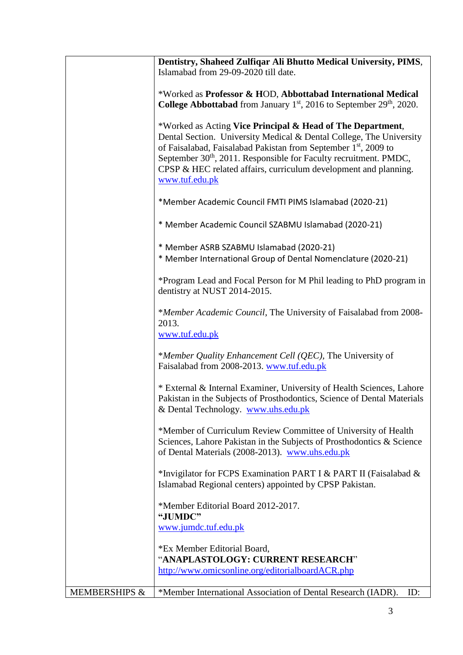|                          | Dentistry, Shaheed Zulfiqar Ali Bhutto Medical University, PIMS,                                                                                                                                                                                                                                                                                                                        |
|--------------------------|-----------------------------------------------------------------------------------------------------------------------------------------------------------------------------------------------------------------------------------------------------------------------------------------------------------------------------------------------------------------------------------------|
|                          | Islamabad from 29-09-2020 till date.                                                                                                                                                                                                                                                                                                                                                    |
|                          |                                                                                                                                                                                                                                                                                                                                                                                         |
|                          | *Worked as Professor & HOD, Abbottabad International Medical                                                                                                                                                                                                                                                                                                                            |
|                          | <b>College Abbottabad</b> from January $1st$ , 2016 to September 29 <sup>th</sup> , 2020.                                                                                                                                                                                                                                                                                               |
|                          | *Worked as Acting Vice Principal & Head of The Department,<br>Dental Section. University Medical & Dental College, The University<br>of Faisalabad, Faisalabad Pakistan from September 1 <sup>st</sup> , 2009 to<br>September 30 <sup>th</sup> , 2011. Responsible for Faculty recruitment. PMDC,<br>CPSP & HEC related affairs, curriculum development and planning.<br>www.tuf.edu.pk |
|                          | *Member Academic Council FMTI PIMS Islamabad (2020-21)                                                                                                                                                                                                                                                                                                                                  |
|                          | * Member Academic Council SZABMU Islamabad (2020-21)                                                                                                                                                                                                                                                                                                                                    |
|                          | * Member ASRB SZABMU Islamabad (2020-21)<br>* Member International Group of Dental Nomenclature (2020-21)                                                                                                                                                                                                                                                                               |
|                          | *Program Lead and Focal Person for M Phil leading to PhD program in<br>dentistry at NUST 2014-2015.                                                                                                                                                                                                                                                                                     |
|                          | *Member Academic Council, The University of Faisalabad from 2008-<br>2013.                                                                                                                                                                                                                                                                                                              |
|                          | www.tuf.edu.pk                                                                                                                                                                                                                                                                                                                                                                          |
|                          | *Member Quality Enhancement Cell (QEC), The University of<br>Faisalabad from 2008-2013. www.tuf.edu.pk                                                                                                                                                                                                                                                                                  |
|                          | * External & Internal Examiner, University of Health Sciences, Lahore<br>Pakistan in the Subjects of Prosthodontics, Science of Dental Materials<br>& Dental Technology. www.uhs.edu.pk                                                                                                                                                                                                 |
|                          | *Member of Curriculum Review Committee of University of Health<br>Sciences, Lahore Pakistan in the Subjects of Prosthodontics & Science<br>of Dental Materials (2008-2013). www.uhs.edu.pk                                                                                                                                                                                              |
|                          | *Invigilator for FCPS Examination PART I & PART II (Faisalabad &<br>Islamabad Regional centers) appointed by CPSP Pakistan.                                                                                                                                                                                                                                                             |
|                          | *Member Editorial Board 2012-2017.<br>"JUMDC"                                                                                                                                                                                                                                                                                                                                           |
|                          | www.jumdc.tuf.edu.pk                                                                                                                                                                                                                                                                                                                                                                    |
|                          | *Ex Member Editorial Board,                                                                                                                                                                                                                                                                                                                                                             |
|                          | "ANAPLASTOLOGY: CURRENT RESEARCH"                                                                                                                                                                                                                                                                                                                                                       |
|                          | http://www.omicsonline.org/editorialboardACR.php                                                                                                                                                                                                                                                                                                                                        |
| <b>MEMBERSHIPS &amp;</b> | *Member International Association of Dental Research (IADR).<br>ID:                                                                                                                                                                                                                                                                                                                     |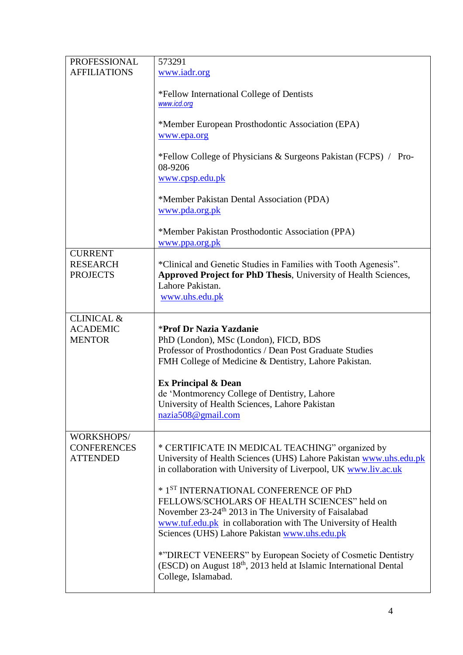| PROFESSIONAL                                              | 573291                                                                                                                                                                                                                                                                       |
|-----------------------------------------------------------|------------------------------------------------------------------------------------------------------------------------------------------------------------------------------------------------------------------------------------------------------------------------------|
| <b>AFFILIATIONS</b>                                       | www.iadr.org                                                                                                                                                                                                                                                                 |
|                                                           | *Fellow International College of Dentists<br>www.icd.org                                                                                                                                                                                                                     |
|                                                           | *Member European Prosthodontic Association (EPA)<br>www.epa.org                                                                                                                                                                                                              |
|                                                           | *Fellow College of Physicians & Surgeons Pakistan (FCPS) / Pro-<br>08-9206<br>www.cpsp.edu.pk                                                                                                                                                                                |
|                                                           | *Member Pakistan Dental Association (PDA)<br>www.pda.org.pk                                                                                                                                                                                                                  |
|                                                           | *Member Pakistan Prosthodontic Association (PPA)<br>www.ppa.org.pk                                                                                                                                                                                                           |
| <b>CURRENT</b><br><b>RESEARCH</b><br><b>PROJECTS</b>      | *Clinical and Genetic Studies in Families with Tooth Agenesis".<br><b>Approved Project for PhD Thesis, University of Health Sciences,</b><br>Lahore Pakistan.<br>www.uhs.edu.pk                                                                                              |
| <b>CLINICAL &amp;</b><br><b>ACADEMIC</b><br><b>MENTOR</b> | *Prof Dr Nazia Yazdanie<br>PhD (London), MSc (London), FICD, BDS<br>Professor of Prosthodontics / Dean Post Graduate Studies<br>FMH College of Medicine & Dentistry, Lahore Pakistan.                                                                                        |
|                                                           | <b>Ex Principal &amp; Dean</b><br>de 'Montmorency College of Dentistry, Lahore<br>University of Health Sciences, Lahore Pakistan<br>nazia508@gmail.com                                                                                                                       |
| WORKSHOPS/<br><b>CONFERENCES</b><br><b>ATTENDED</b>       | * CERTIFICATE IN MEDICAL TEACHING" organized by<br>University of Health Sciences (UHS) Lahore Pakistan www.uhs.edu.pk<br>in collaboration with University of Liverpool, UK www.liv.ac.uk                                                                                     |
|                                                           | * 1ST INTERNATIONAL CONFERENCE OF PhD<br>FELLOWS/SCHOLARS OF HEALTH SCIENCES" held on<br>November 23-24 <sup>th</sup> 2013 in The University of Faisalabad<br>www.tuf.edu.pk in collaboration with The University of Health<br>Sciences (UHS) Lahore Pakistan www.uhs.edu.pk |
|                                                           | *"DIRECT VENEERS" by European Society of Cosmetic Dentistry<br>(ESCD) on August 18 <sup>th</sup> , 2013 held at Islamic International Dental<br>College, Islamabad.                                                                                                          |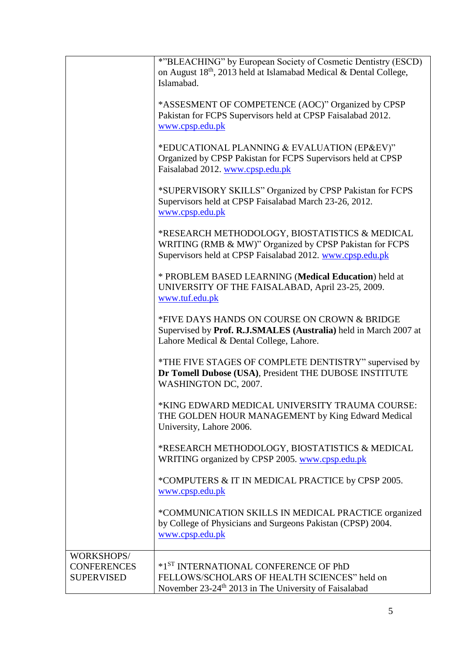|                                                       | *"BLEACHING" by European Society of Cosmetic Dentistry (ESCD)<br>on August 18th, 2013 held at Islamabad Medical & Dental College,<br>Islamabad.                        |
|-------------------------------------------------------|------------------------------------------------------------------------------------------------------------------------------------------------------------------------|
|                                                       | *ASSESMENT OF COMPETENCE (AOC)" Organized by CPSP<br>Pakistan for FCPS Supervisors held at CPSP Faisalabad 2012.<br>www.cpsp.edu.pk                                    |
|                                                       | *EDUCATIONAL PLANNING & EVALUATION (EP&EV)"<br>Organized by CPSP Pakistan for FCPS Supervisors held at CPSP<br>Faisalabad 2012. www.cpsp.edu.pk                        |
|                                                       | *SUPERVISORY SKILLS" Organized by CPSP Pakistan for FCPS<br>Supervisors held at CPSP Faisalabad March 23-26, 2012.<br>www.cpsp.edu.pk                                  |
|                                                       | *RESEARCH METHODOLOGY, BIOSTATISTICS & MEDICAL<br>WRITING (RMB & MW)" Organized by CPSP Pakistan for FCPS<br>Supervisors held at CPSP Faisalabad 2012. www.cpsp.edu.pk |
|                                                       | * PROBLEM BASED LEARNING (Medical Education) held at<br>UNIVERSITY OF THE FAISALABAD, April 23-25, 2009.<br>www.tuf.edu.pk                                             |
|                                                       | *FIVE DAYS HANDS ON COURSE ON CROWN & BRIDGE<br>Supervised by Prof. R.J.SMALES (Australia) held in March 2007 at<br>Lahore Medical & Dental College, Lahore.           |
|                                                       | *THE FIVE STAGES OF COMPLETE DENTISTRY" supervised by<br>Dr Tomell Dubose (USA), President THE DUBOSE INSTITUTE<br>WASHINGTON DC, 2007.                                |
|                                                       | *KING EDWARD MEDICAL UNIVERSITY TRAUMA COURSE:<br>THE GOLDEN HOUR MANAGEMENT by King Edward Medical<br>University, Lahore 2006.                                        |
|                                                       | *RESEARCH METHODOLOGY, BIOSTATISTICS & MEDICAL<br>WRITING organized by CPSP 2005. www.cpsp.edu.pk                                                                      |
|                                                       | *COMPUTERS & IT IN MEDICAL PRACTICE by CPSP 2005.<br>www.cpsp.edu.pk                                                                                                   |
|                                                       | *COMMUNICATION SKILLS IN MEDICAL PRACTICE organized<br>by College of Physicians and Surgeons Pakistan (CPSP) 2004.<br>www.cpsp.edu.pk                                  |
| WORKSHOPS/<br><b>CONFERENCES</b><br><b>SUPERVISED</b> | *1 <sup>ST</sup> INTERNATIONAL CONFERENCE OF PhD<br>FELLOWS/SCHOLARS OF HEALTH SCIENCES" held on<br>November 23-24 <sup>th</sup> 2013 in The University of Faisalabad  |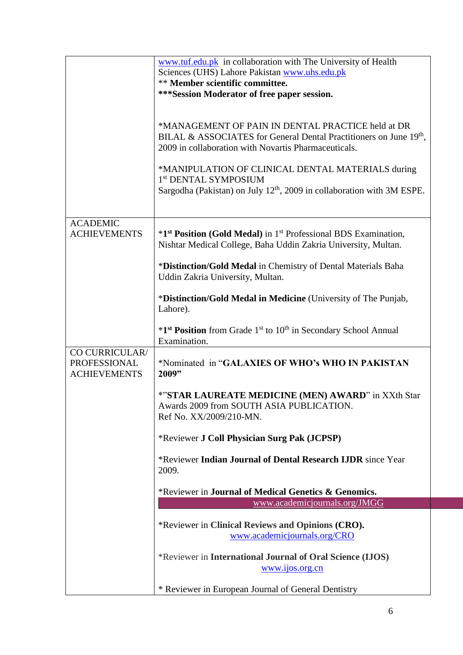|                                                       | www.tuf.edu.pk in collaboration with The University of Health<br>Sciences (UHS) Lahore Pakistan www.uhs.edu.pk<br>** Member scientific committee.<br>***Session Moderator of free paper session. |
|-------------------------------------------------------|--------------------------------------------------------------------------------------------------------------------------------------------------------------------------------------------------|
|                                                       | *MANAGEMENT OF PAIN IN DENTAL PRACTICE held at DR<br>BILAL & ASSOCIATES for General Dental Practitioners on June 19th,<br>2009 in collaboration with Novartis Pharmaceuticals.                   |
|                                                       | *MANIPULATION OF CLINICAL DENTAL MATERIALS during<br>1 <sup>st</sup> DENTAL SYMPOSIUM<br>Sargodha (Pakistan) on July $12th$ , 2009 in collaboration with 3M ESPE.                                |
| <b>ACADEMIC</b><br><b>ACHIEVEMENTS</b>                | *1 <sup>st</sup> Position (Gold Medal) in 1 <sup>st</sup> Professional BDS Examination,<br>Nishtar Medical College, Baha Uddin Zakria University, Multan.                                        |
|                                                       | *Distinction/Gold Medal in Chemistry of Dental Materials Baha<br>Uddin Zakria University, Multan.                                                                                                |
|                                                       | *Distinction/Gold Medal in Medicine (University of The Punjab,<br>Lahore).                                                                                                                       |
|                                                       | *1 <sup>st</sup> Position from Grade 1 <sup>st</sup> to 10 <sup>th</sup> in Secondary School Annual<br>Examination.                                                                              |
| CO CURRICULAR/<br>PROFESSIONAL<br><b>ACHIEVEMENTS</b> | *Nominated in "GALAXIES OF WHO's WHO IN PAKISTAN<br>2009"                                                                                                                                        |
|                                                       | *"STAR LAUREATE MEDICINE (MEN) AWARD" in XXth Star<br>Awards 2009 from SOUTH ASIA PUBLICATION.<br>Ref No. XX/2009/210-MN.                                                                        |
|                                                       | *Reviewer J Coll Physician Surg Pak (JCPSP)                                                                                                                                                      |
|                                                       | *Reviewer Indian Journal of Dental Research IJDR since Year<br>2009.                                                                                                                             |
|                                                       | *Reviewer in Journal of Medical Genetics & Genomics.<br>www.academicjournals.org/JMGG                                                                                                            |
|                                                       |                                                                                                                                                                                                  |
|                                                       | *Reviewer in Clinical Reviews and Opinions (CRO).<br>www.academicjournals.org/CRO                                                                                                                |
|                                                       | *Reviewer in International Journal of Oral Science (IJOS)<br>www.ijos.org.cn                                                                                                                     |
|                                                       | * Reviewer in European Journal of General Dentistry                                                                                                                                              |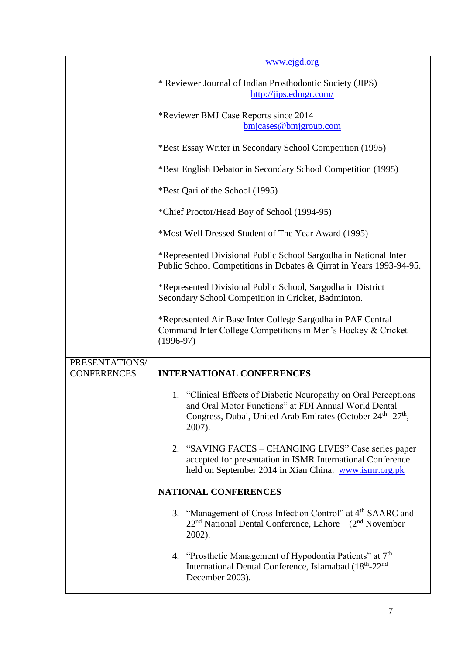|                                      | www.ejgd.org                                                                                                                                                                                                             |  |
|--------------------------------------|--------------------------------------------------------------------------------------------------------------------------------------------------------------------------------------------------------------------------|--|
|                                      | * Reviewer Journal of Indian Prosthodontic Society (JIPS)<br>http://jips.edmgr.com/                                                                                                                                      |  |
|                                      | *Reviewer BMJ Case Reports since 2014<br>bmjcases@bmjgroup.com                                                                                                                                                           |  |
|                                      | *Best Essay Writer in Secondary School Competition (1995)                                                                                                                                                                |  |
|                                      | *Best English Debator in Secondary School Competition (1995)                                                                                                                                                             |  |
|                                      | *Best Qari of the School (1995)                                                                                                                                                                                          |  |
|                                      | *Chief Proctor/Head Boy of School (1994-95)                                                                                                                                                                              |  |
|                                      | *Most Well Dressed Student of The Year Award (1995)                                                                                                                                                                      |  |
|                                      | *Represented Divisional Public School Sargodha in National Inter<br>Public School Competitions in Debates & Qirrat in Years 1993-94-95.                                                                                  |  |
|                                      | *Represented Divisional Public School, Sargodha in District<br>Secondary School Competition in Cricket, Badminton.                                                                                                       |  |
|                                      | *Represented Air Base Inter College Sargodha in PAF Central<br>Command Inter College Competitions in Men's Hockey & Cricket<br>$(1996-97)$                                                                               |  |
| PRESENTATIONS/<br><b>CONFERENCES</b> | <b>INTERNATIONAL CONFERENCES</b>                                                                                                                                                                                         |  |
|                                      | 1. "Clinical Effects of Diabetic Neuropathy on Oral Perceptions<br>and Oral Motor Functions" at FDI Annual World Dental<br>Congress, Dubai, United Arab Emirates (October 24 <sup>th</sup> -27 <sup>th</sup> ,<br>2007). |  |
|                                      | 2. "SAVING FACES - CHANGING LIVES" Case series paper<br>accepted for presentation in ISMR International Conference<br>held on September 2014 in Xian China. www.ismr.org.pk                                              |  |
|                                      | <b>NATIONAL CONFERENCES</b>                                                                                                                                                                                              |  |
|                                      | 3. "Management of Cross Infection Control" at 4 <sup>th</sup> SAARC and<br>22 <sup>nd</sup> National Dental Conference, Lahore (2 <sup>nd</sup> November<br>2002).                                                       |  |
|                                      | 4. "Prosthetic Management of Hypodontia Patients" at 7 <sup>th</sup><br>International Dental Conference, Islamabad (18 <sup>th</sup> -22 <sup>nd</sup> )<br>December 2003).                                              |  |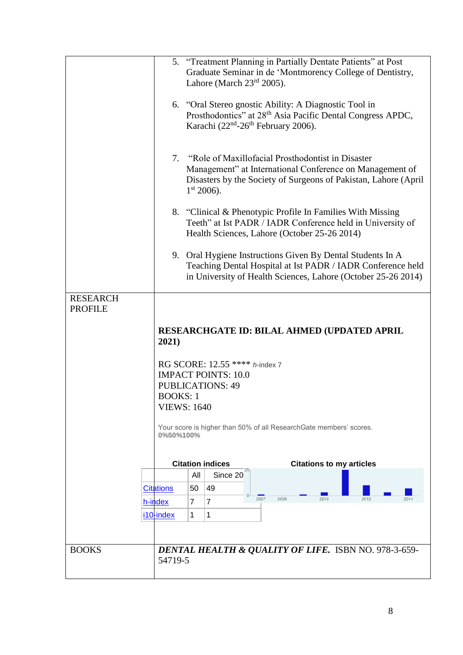|                 |                  | 5. "Treatment Planning in Partially Dentate Patients" at Post                                                                |
|-----------------|------------------|------------------------------------------------------------------------------------------------------------------------------|
|                 |                  | Graduate Seminar in de 'Montmorency College of Dentistry,                                                                    |
|                 |                  | Lahore (March $23rd 2005$ ).                                                                                                 |
|                 |                  |                                                                                                                              |
|                 |                  | 6. "Oral Stereo gnostic Ability: A Diagnostic Tool in                                                                        |
|                 |                  | Prosthodontics" at 28 <sup>th</sup> Asia Pacific Dental Congress APDC,                                                       |
|                 |                  | Karachi (22 <sup>nd</sup> -26 <sup>th</sup> February 2006).                                                                  |
|                 |                  |                                                                                                                              |
|                 |                  | 7. "Role of Maxillofacial Prosthodontist in Disaster                                                                         |
|                 |                  | Management" at International Conference on Management of                                                                     |
|                 |                  | Disasters by the Society of Surgeons of Pakistan, Lahore (April                                                              |
|                 |                  | $1st 2006$ ).                                                                                                                |
|                 |                  |                                                                                                                              |
|                 |                  | 8. "Clinical & Phenotypic Profile In Families With Missing                                                                   |
|                 |                  | Teeth" at Ist PADR / IADR Conference held in University of                                                                   |
|                 |                  | Health Sciences, Lahore (October 25-26 2014)                                                                                 |
|                 |                  |                                                                                                                              |
|                 |                  | 9. Oral Hygiene Instructions Given By Dental Students In A                                                                   |
|                 |                  | Teaching Dental Hospital at Ist PADR / IADR Conference held<br>in University of Health Sciences, Lahore (October 25-26 2014) |
|                 |                  |                                                                                                                              |
| <b>RESEARCH</b> |                  |                                                                                                                              |
| <b>PROFILE</b>  |                  |                                                                                                                              |
|                 |                  |                                                                                                                              |
|                 |                  |                                                                                                                              |
|                 |                  | RESEARCHGATE ID: BILAL AHMED (UPDATED APRIL                                                                                  |
|                 | 2021)            |                                                                                                                              |
|                 |                  |                                                                                                                              |
|                 |                  | RG SCORE: 12.55 **** h-index 7                                                                                               |
|                 |                  | <b>IMPACT POINTS: 10.0</b>                                                                                                   |
|                 |                  | <b>PUBLICATIONS: 49</b>                                                                                                      |
|                 | <b>BOOKS: 1</b>  |                                                                                                                              |
|                 |                  | <b>VIEWS: 1640</b>                                                                                                           |
|                 |                  | Your score is higher than 50% of all ResearchGate members' scores.                                                           |
|                 | 0%50%100%        |                                                                                                                              |
|                 |                  |                                                                                                                              |
|                 |                  | <b>Citation indices</b><br><b>Citations to my articles</b>                                                                   |
|                 |                  | All<br>Since 20                                                                                                              |
|                 | <b>Citations</b> | 49<br>50                                                                                                                     |
|                 |                  | 2007<br>2008<br>2010<br>7<br>7                                                                                               |
|                 | h-index          |                                                                                                                              |
|                 | i10-index        | 1<br>1                                                                                                                       |
|                 |                  |                                                                                                                              |
|                 |                  |                                                                                                                              |
| <b>BOOKS</b>    | 54719-5          | DENTAL HEALTH & QUALITY OF LIFE. ISBN NO. 978-3-659-                                                                         |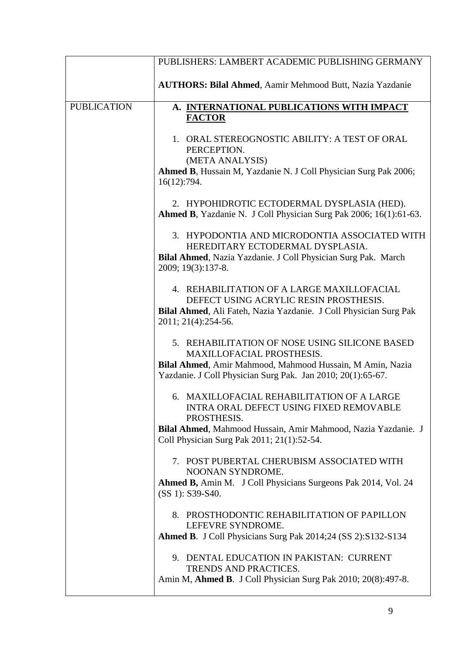|                    | PUBLISHERS: LAMBERT ACADEMIC PUBLISHING GERMANY                                                                                                                                                                            |
|--------------------|----------------------------------------------------------------------------------------------------------------------------------------------------------------------------------------------------------------------------|
|                    | <b>AUTHORS: Bilal Ahmed, Aamir Mehmood Butt, Nazia Yazdanie</b>                                                                                                                                                            |
| <b>PUBLICATION</b> | A. INTERNATIONAL PUBLICATIONS WITH IMPACT                                                                                                                                                                                  |
|                    | <b>FACTOR</b>                                                                                                                                                                                                              |
|                    | 1. ORAL STEREOGNOSTIC ABILITY: A TEST OF ORAL<br>PERCEPTION.<br>(META ANALYSIS)<br>Ahmed B, Hussain M, Yazdanie N. J Coll Physician Surg Pak 2006;                                                                         |
|                    | 16(12):794.                                                                                                                                                                                                                |
|                    | 2. HYPOHIDROTIC ECTODERMAL DYSPLASIA (HED).<br>Ahmed B, Yazdanie N. J Coll Physician Surg Pak 2006; 16(1):61-63.                                                                                                           |
|                    | 3. HYPODONTIA AND MICRODONTIA ASSOCIATED WITH<br>HEREDITARY ECTODERMAL DYSPLASIA.<br>Bilal Ahmed, Nazia Yazdanie. J Coll Physician Surg Pak. March<br>2009; 19(3):137-8.                                                   |
|                    | 4. REHABILITATION OF A LARGE MAXILLOFACIAL<br>DEFECT USING ACRYLIC RESIN PROSTHESIS.<br>Bilal Ahmed, Ali Fateh, Nazia Yazdanie. J Coll Physician Surg Pak<br>2011; 21(4):254-56.                                           |
|                    | 5. REHABILITATION OF NOSE USING SILICONE BASED<br>MAXILLOFACIAL PROSTHESIS.<br>Bilal Ahmed, Amir Mahmood, Mahmood Hussain, M Amin, Nazia<br>Yazdanie. J Coll Physician Surg Pak. Jan 2010; 20(1):65-67.                    |
|                    | 6. MAXILLOFACIAL REHABILITATION OF A LARGE<br><b>INTRA ORAL DEFECT USING FIXED REMOVABLE</b><br>PROSTHESIS.<br>Bilal Ahmed, Mahmood Hussain, Amir Mahmood, Nazia Yazdanie. J<br>Coll Physician Surg Pak 2011; 21(1):52-54. |
|                    | 7. POST PUBERTAL CHERUBISM ASSOCIATED WITH<br>NOONAN SYNDROME.<br>Ahmed B, Amin M. J Coll Physicians Surgeons Pak 2014, Vol. 24<br>(SS 1): S39-S40.                                                                        |
|                    | 8. PROSTHODONTIC REHABILITATION OF PAPILLON<br>LEFEVRE SYNDROME.<br>Ahmed B. J Coll Physicians Surg Pak 2014;24 (SS 2):S132-S134                                                                                           |
|                    | 9. DENTAL EDUCATION IN PAKISTAN: CURRENT<br>TRENDS AND PRACTICES.<br>Amin M, Ahmed B. J Coll Physician Surg Pak 2010; 20(8):497-8.                                                                                         |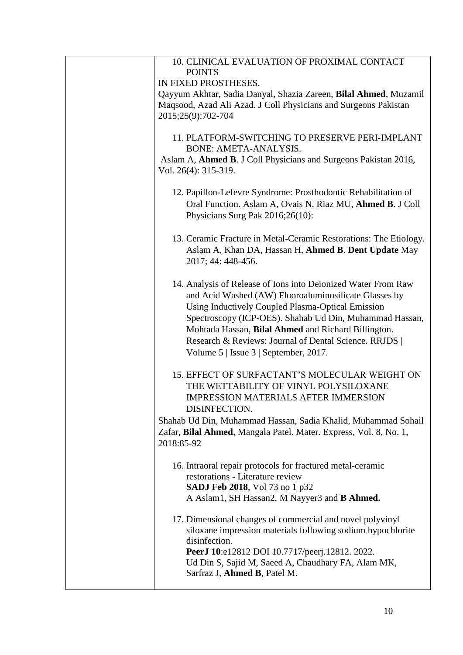| 10. CLINICAL EVALUATION OF PROXIMAL CONTACT                       |
|-------------------------------------------------------------------|
| <b>POINTS</b>                                                     |
| IN FIXED PROSTHESES.                                              |
| Qayyum Akhtar, Sadia Danyal, Shazia Zareen, Bilal Ahmed, Muzamil  |
| Maqsood, Azad Ali Azad. J Coll Physicians and Surgeons Pakistan   |
| 2015;25(9):702-704                                                |
| 11. PLATFORM-SWITCHING TO PRESERVE PERI-IMPLANT                   |
| BONE: AMETA-ANALYSIS.                                             |
| Aslam A, Ahmed B. J Coll Physicians and Surgeons Pakistan 2016,   |
| Vol. 26(4): 315-319.                                              |
|                                                                   |
| 12. Papillon-Lefevre Syndrome: Prosthodontic Rehabilitation of    |
| Oral Function. Aslam A, Ovais N, Riaz MU, Ahmed B. J Coll         |
| Physicians Surg Pak 2016;26(10):                                  |
| 13. Ceramic Fracture in Metal-Ceramic Restorations: The Etiology. |
| Aslam A, Khan DA, Hassan H, Ahmed B. Dent Update May              |
| 2017; 44: 448-456.                                                |
|                                                                   |
| 14. Analysis of Release of Ions into Deionized Water From Raw     |
| and Acid Washed (AW) Fluoroaluminosilicate Glasses by             |
| Using Inductively Coupled Plasma-Optical Emission                 |
| Spectroscopy (ICP-OES). Shahab Ud Din, Muhammad Hassan,           |
| Mohtada Hassan, Bilal Ahmed and Richard Billington.               |
| Research & Reviews: Journal of Dental Science. RRJDS              |
| Volume $5$   Issue $3$   September, 2017.                         |
| 15. EFFECT OF SURFACTANT'S MOLECULAR WEIGHT ON                    |
| THE WETTABILITY OF VINYL POLYSILOXANE                             |
| <b>IMPRESSION MATERIALS AFTER IMMERSION</b>                       |
| <b>DISINFECTION.</b>                                              |
| Shahab Ud Din, Muhammad Hassan, Sadia Khalid, Muhammad Sohail     |
| Zafar, Bilal Ahmed, Mangala Patel. Mater. Express, Vol. 8, No. 1, |
| 2018:85-92                                                        |
|                                                                   |
| 16. Intraoral repair protocols for fractured metal-ceramic        |
| restorations - Literature review                                  |
| <b>SADJ Feb 2018</b> , Vol 73 no 1 p32                            |
| A Aslam1, SH Hassan2, M Nayyer3 and <b>B Ahmed.</b>               |
| 17. Dimensional changes of commercial and novel polyvinyl         |
| siloxane impression materials following sodium hypochlorite       |
| disinfection.                                                     |
| PeerJ 10:e12812 DOI 10.7717/peerj.12812. 2022.                    |
| Ud Din S, Sajid M, Saeed A, Chaudhary FA, Alam MK,                |
| Sarfraz J, Ahmed B, Patel M.                                      |
|                                                                   |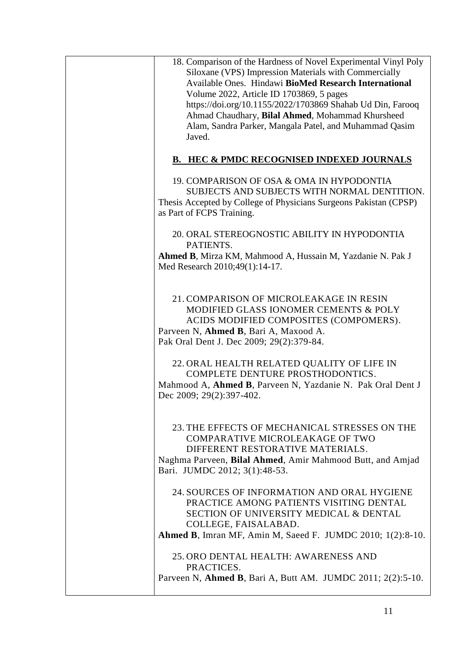| 18. Comparison of the Hardness of Novel Experimental Vinyl Poly<br>Siloxane (VPS) Impression Materials with Commercially<br>Available Ones. Hindawi BioMed Research International<br>Volume 2022, Article ID 1703869, 5 pages<br>https://doi.org/10.1155/2022/1703869 Shahab Ud Din, Farooq<br>Ahmad Chaudhary, Bilal Ahmed, Mohammad Khursheed<br>Alam, Sandra Parker, Mangala Patel, and Muhammad Qasim<br>Javed. |
|---------------------------------------------------------------------------------------------------------------------------------------------------------------------------------------------------------------------------------------------------------------------------------------------------------------------------------------------------------------------------------------------------------------------|
| <b>B. HEC &amp; PMDC RECOGNISED INDEXED JOURNALS</b>                                                                                                                                                                                                                                                                                                                                                                |
| 19. COMPARISON OF OSA & OMA IN HYPODONTIA<br>SUBJECTS AND SUBJECTS WITH NORMAL DENTITION.<br>Thesis Accepted by College of Physicians Surgeons Pakistan (CPSP)<br>as Part of FCPS Training.                                                                                                                                                                                                                         |
| 20. ORAL STEREOGNOSTIC ABILITY IN HYPODONTIA<br>PATIENTS.                                                                                                                                                                                                                                                                                                                                                           |
| Ahmed B, Mirza KM, Mahmood A, Hussain M, Yazdanie N. Pak J<br>Med Research 2010;49(1):14-17.                                                                                                                                                                                                                                                                                                                        |
| 21. COMPARISON OF MICROLEAKAGE IN RESIN<br>MODIFIED GLASS IONOMER CEMENTS & POLY<br>ACIDS MODIFIED COMPOSITES (COMPOMERS).<br>Parveen N, Ahmed B, Bari A, Maxood A.<br>Pak Oral Dent J. Dec 2009; 29(2):379-84.                                                                                                                                                                                                     |
| 22. ORAL HEALTH RELATED QUALITY OF LIFE IN<br>COMPLETE DENTURE PROSTHODONTICS.<br>Mahmood A, Ahmed B, Parveen N, Yazdanie N. Pak Oral Dent J<br>Dec 2009; 29(2):397-402.                                                                                                                                                                                                                                            |
| 23. THE EFFECTS OF MECHANICAL STRESSES ON THE<br>COMPARATIVE MICROLEAKAGE OF TWO<br>DIFFERENT RESTORATIVE MATERIALS.<br>Naghma Parveen, Bilal Ahmed, Amir Mahmood Butt, and Amjad<br>Bari. JUMDC 2012; 3(1):48-53.                                                                                                                                                                                                  |
| 24. SOURCES OF INFORMATION AND ORAL HYGIENE<br>PRACTICE AMONG PATIENTS VISITING DENTAL<br><b>SECTION OF UNIVERSITY MEDICAL &amp; DENTAL</b><br>COLLEGE, FAISALABAD.<br><b>Ahmed B, Imran MF, Amin M, Saeed F. JUMDC 2010; 1(2):8-10.</b>                                                                                                                                                                            |
| 25. ORO DENTAL HEALTH: AWARENESS AND<br>PRACTICES.<br>Parveen N, Ahmed B, Bari A, Butt AM. JUMDC 2011; 2(2):5-10.                                                                                                                                                                                                                                                                                                   |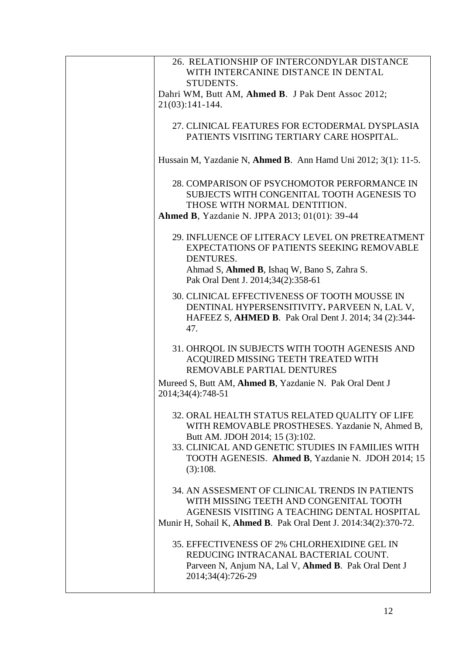| 26. RELATIONSHIP OF INTERCONDYLAR DISTANCE<br>WITH INTERCANINE DISTANCE IN DENTAL<br>STUDENTS.                                                                                                                                                              |
|-------------------------------------------------------------------------------------------------------------------------------------------------------------------------------------------------------------------------------------------------------------|
| Dahri WM, Butt AM, Ahmed B. J Pak Dent Assoc 2012;<br>$21(03):141-144.$                                                                                                                                                                                     |
|                                                                                                                                                                                                                                                             |
| 27. CLINICAL FEATURES FOR ECTODERMAL DYSPLASIA<br>PATIENTS VISITING TERTIARY CARE HOSPITAL.                                                                                                                                                                 |
| Hussain M, Yazdanie N, Ahmed B. Ann Hamd Uni 2012; 3(1): 11-5.                                                                                                                                                                                              |
| 28. COMPARISON OF PSYCHOMOTOR PERFORMANCE IN<br>SUBJECTS WITH CONGENITAL TOOTH AGENESIS TO<br>THOSE WITH NORMAL DENTITION.<br><b>Ahmed B, Yazdanie N. JPPA 2013; 01(01): 39-44</b>                                                                          |
| 29. INFLUENCE OF LITERACY LEVEL ON PRETREATMENT<br><b>EXPECTATIONS OF PATIENTS SEEKING REMOVABLE</b><br>DENTURES.<br>Ahmad S, Ahmed B, Ishaq W, Bano S, Zahra S.<br>Pak Oral Dent J. 2014;34(2):358-61                                                      |
| 30. CLINICAL EFFECTIVENESS OF TOOTH MOUSSE IN<br>DENTINAL HYPERSENSITIVITY. PARVEEN N, LAL V,<br>HAFEEZ S, AHMED B. Pak Oral Dent J. 2014; 34 (2):344-<br>47.                                                                                               |
| 31. OHRQOL IN SUBJECTS WITH TOOTH AGENESIS AND<br>ACQUIRED MISSING TEETH TREATED WITH<br>REMOVABLE PARTIAL DENTURES                                                                                                                                         |
| Mureed S, Butt AM, Ahmed B, Yazdanie N. Pak Oral Dent J<br>2014;34(4):748-51                                                                                                                                                                                |
| 32. ORAL HEALTH STATUS RELATED QUALITY OF LIFE<br>WITH REMOVABLE PROSTHESES. Yazdanie N, Ahmed B,<br>Butt AM. JDOH 2014; 15 (3):102.<br>33. CLINICAL AND GENETIC STUDIES IN FAMILIES WITH<br>TOOTH AGENESIS. Ahmed B, Yazdanie N. JDOH 2014; 15<br>(3):108. |
| 34. AN ASSESMENT OF CLINICAL TRENDS IN PATIENTS<br>WITH MISSING TEETH AND CONGENITAL TOOTH<br>AGENESIS VISITING A TEACHING DENTAL HOSPITAL<br>Munir H, Sohail K, Ahmed B. Pak Oral Dent J. 2014:34(2):370-72.                                               |
| 35. EFFECTIVENESS OF 2% CHLORHEXIDINE GEL IN<br>REDUCING INTRACANAL BACTERIAL COUNT.<br>Parveen N, Anjum NA, Lal V, Ahmed B. Pak Oral Dent J<br>2014;34(4):726-29                                                                                           |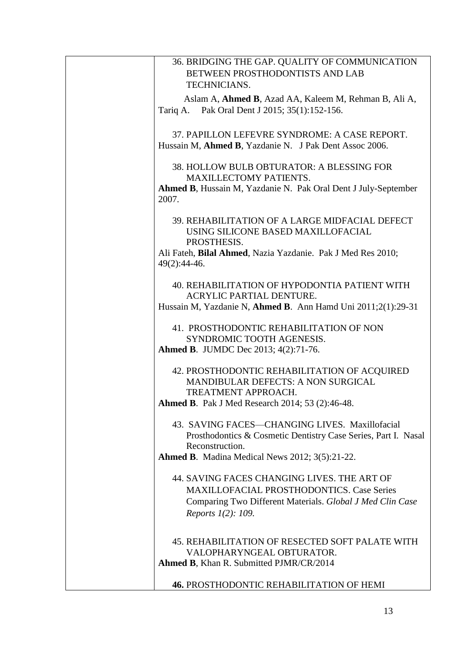| 36. BRIDGING THE GAP. QUALITY OF COMMUNICATION                 |
|----------------------------------------------------------------|
| BETWEEN PROSTHODONTISTS AND LAB                                |
| TECHNICIANS.                                                   |
|                                                                |
| Aslam A, <b>Ahmed B</b> , Azad AA, Kaleem M, Rehman B, Ali A,  |
| Tariq A. Pak Oral Dent J 2015; 35(1):152-156.                  |
|                                                                |
|                                                                |
| 37. PAPILLON LEFEVRE SYNDROME: A CASE REPORT.                  |
| Hussain M, Ahmed B, Yazdanie N. J Pak Dent Assoc 2006.         |
|                                                                |
| 38. HOLLOW BULB OBTURATOR: A BLESSING FOR                      |
| <b>MAXILLECTOMY PATIENTS.</b>                                  |
| Ahmed B, Hussain M, Yazdanie N. Pak Oral Dent J July-September |
|                                                                |
| 2007.                                                          |
|                                                                |
| 39. REHABILITATION OF A LARGE MIDFACIAL DEFECT                 |
| USING SILICONE BASED MAXILLOFACIAL                             |
| PROSTHESIS.                                                    |
| Ali Fateh, Bilal Ahmed, Nazia Yazdanie. Pak J Med Res 2010;    |
|                                                                |
| 49(2):44-46.                                                   |
|                                                                |
| 40. REHABILITATION OF HYPODONTIA PATIENT WITH                  |
| <b>ACRYLIC PARTIAL DENTURE.</b>                                |
| Hussain M, Yazdanie N, Ahmed B. Ann Hamd Uni 2011;2(1):29-31   |
|                                                                |
|                                                                |
| 41. PROSTHODONTIC REHABILITATION OF NON                        |
| SYNDROMIC TOOTH AGENESIS.                                      |
| <b>Ahmed B. JUMDC Dec 2013; 4(2):71-76.</b>                    |
|                                                                |
| 42. PROSTHODONTIC REHABILITATION OF ACQUIRED                   |
| <b>MANDIBULAR DEFECTS: A NON SURGICAL</b>                      |
|                                                                |
| TREATMENT APPROACH.                                            |
| <b>Ahmed B.</b> Pak J Med Research 2014; 53 (2):46-48.         |
|                                                                |
| 43. SAVING FACES-CHANGING LIVES. Maxillofacial                 |
| Prosthodontics & Cosmetic Dentistry Case Series, Part I. Nasal |
| Reconstruction.                                                |
| <b>Ahmed B.</b> Madina Medical News 2012; 3(5):21-22.          |
|                                                                |
|                                                                |
| 44. SAVING FACES CHANGING LIVES. THE ART OF                    |
| <b>MAXILLOFACIAL PROSTHODONTICS. Case Series</b>               |
| Comparing Two Different Materials. Global J Med Clin Case      |
|                                                                |
| Reports 1(2): 109.                                             |
|                                                                |
|                                                                |
| 45. REHABILITATION OF RESECTED SOFT PALATE WITH                |
| VALOPHARYNGEAL OBTURATOR.                                      |
| <b>Ahmed B, Khan R. Submitted PJMR/CR/2014</b>                 |
|                                                                |
| <b>46. PROSTHODONTIC REHABILITATION OF HEMI</b>                |
|                                                                |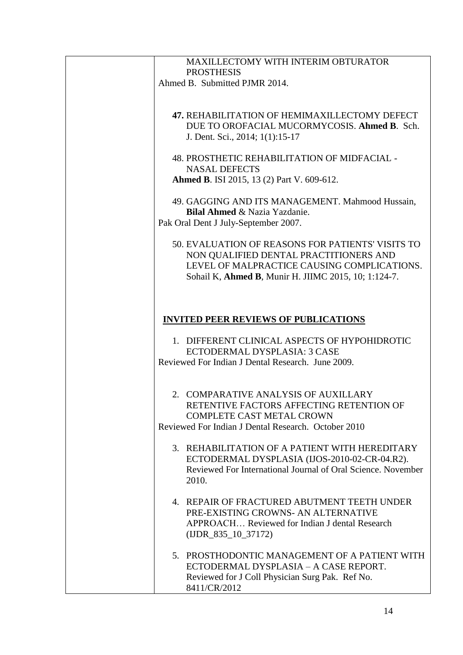| <b>MAXILLECTOMY WITH INTERIM OBTURATOR</b><br><b>PROSTHESIS</b> |
|-----------------------------------------------------------------|
| Ahmed B. Submitted PJMR 2014.                                   |
|                                                                 |
| 47. REHABILITATION OF HEMIMAXILLECTOMY DEFECT                   |
| DUE TO OROFACIAL MUCORMYCOSIS. Ahmed B. Sch.                    |
| J. Dent. Sci., 2014; 1(1):15-17                                 |
| 48. PROSTHETIC REHABILITATION OF MIDFACIAL -                    |
| <b>NASAL DEFECTS</b>                                            |
| <b>Ahmed B. ISI 2015, 13 (2) Part V. 609-612.</b>               |
| 49. GAGGING AND ITS MANAGEMENT. Mahmood Hussain,                |
| <b>Bilal Ahmed &amp; Nazia Yazdanie.</b>                        |
| Pak Oral Dent J July-September 2007.                            |
| 50. EVALUATION OF REASONS FOR PATIENTS' VISITS TO               |
| NON QUALIFIED DENTAL PRACTITIONERS AND                          |
| LEVEL OF MALPRACTICE CAUSING COMPLICATIONS.                     |
| Sohail K, Ahmed B, Munir H. JIIMC 2015, 10; 1:124-7.            |
|                                                                 |
|                                                                 |
| <b>INVITED PEER REVIEWS OF PUBLICATIONS</b>                     |
| 1. DIFFERENT CLINICAL ASPECTS OF HYPOHIDROTIC                   |
| ECTODERMAL DYSPLASIA: 3 CASE                                    |
| Reviewed For Indian J Dental Research. June 2009.               |
|                                                                 |
| 2. COMPARATIVE ANALYSIS OF AUXILLARY                            |
| RETENTIVE FACTORS AFFECTING RETENTION OF                        |
| <b>COMPLETE CAST METAL CROWN</b>                                |
| Reviewed For Indian J Dental Research. October 2010             |
| 3. REHABILITATION OF A PATIENT WITH HEREDITARY                  |
| ECTODERMAL DYSPLASIA (IJOS-2010-02-CR-04.R2).                   |
| Reviewed For International Journal of Oral Science. November    |
| 2010.                                                           |
| 4. REPAIR OF FRACTURED ABUTMENT TEETH UNDER                     |
| PRE-EXISTING CROWNS- AN ALTERNATIVE                             |
| APPROACH Reviewed for Indian J dental Research                  |
| $(IDR_835_10_37172)$                                            |
| 5. PROSTHODONTIC MANAGEMENT OF A PATIENT WITH                   |
| ECTODERMAL DYSPLASIA - A CASE REPORT.                           |
| Reviewed for J Coll Physician Surg Pak. Ref No.                 |
| 8411/CR/2012                                                    |